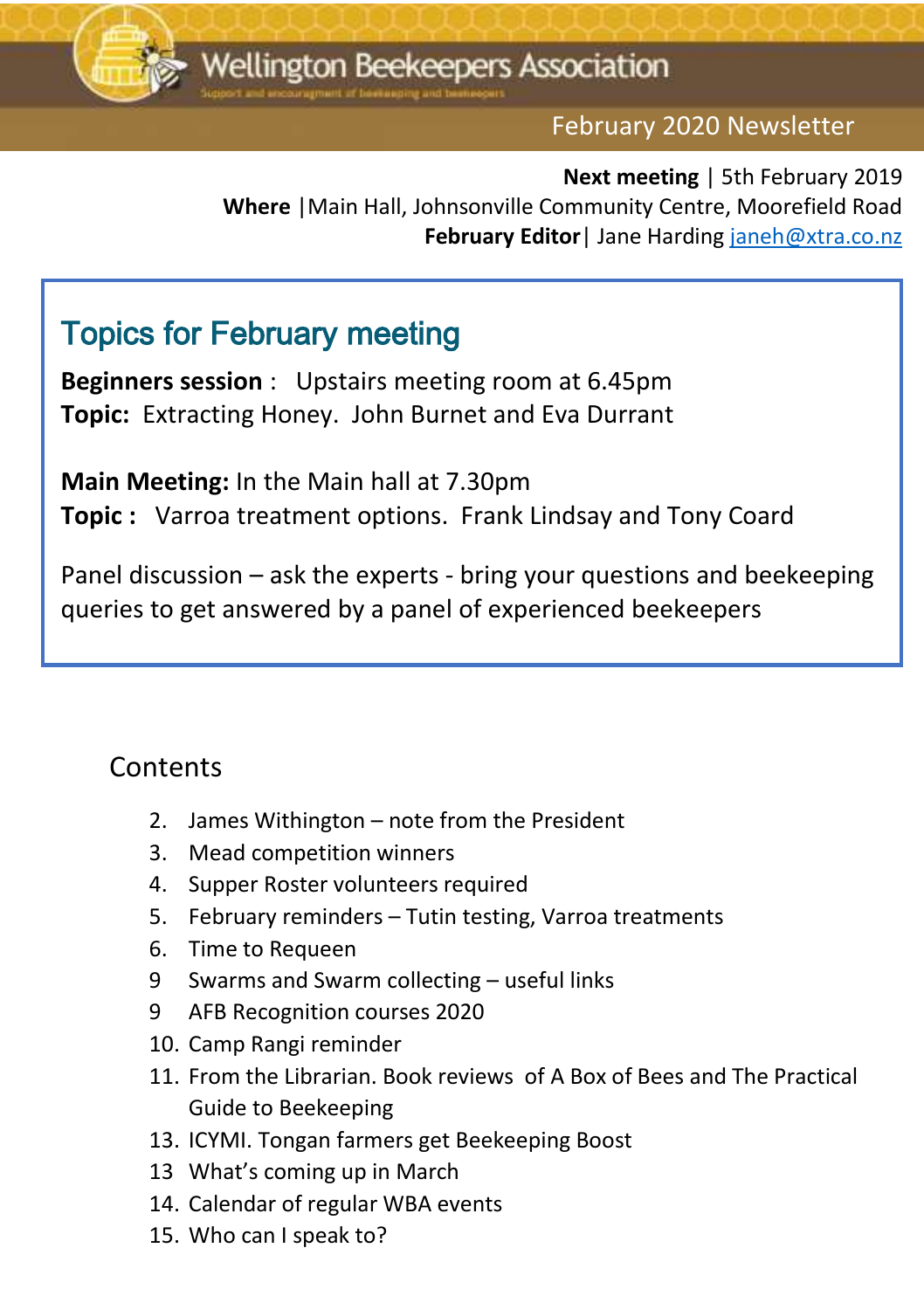

#### February 2020 Newsletter

Ededit

**Next meeting** | 5th February 2019 **Where** |Main Hall, Johnsonville Community Centre, Moorefield Road **February Editor**| Jane Hardin[g janeh@xtra.co.nz](mailto:janeh@xtra.co.nz)

### Topics for February meeting

**Beginners session** : Upstairs meeting room at 6.45pm **Topic:** Extracting Honey. John Burnet and Eva Durrant

**Main Meeting:** In the Main hall at 7.30pm **Topic :** Varroa treatment options. Frank Lindsay and Tony Coard

Panel discussion – ask the experts - bring your questions and beekeeping queries to get answered by a panel of experienced beekeepers

#### **Contents**

Ξ

- 2. James Withington note from the President
- 3. Mead competition winners
- 4. Supper Roster volunteers required
- 5. February reminders Tutin testing, Varroa treatments
- 6. Time to Requeen
- 9 Swarms and Swarm collecting useful links
- 9 AFB Recognition courses 2020
- 10. Camp Rangi reminder
- 11. From the Librarian. Book reviews of A Box of Bees and The Practical Guide to Beekeeping
- 13. ICYMI. Tongan farmers get Beekeeping Boost
- 13 What's coming up in March
- 14. Calendar of regular WBA events
- 15. Who can I speak to?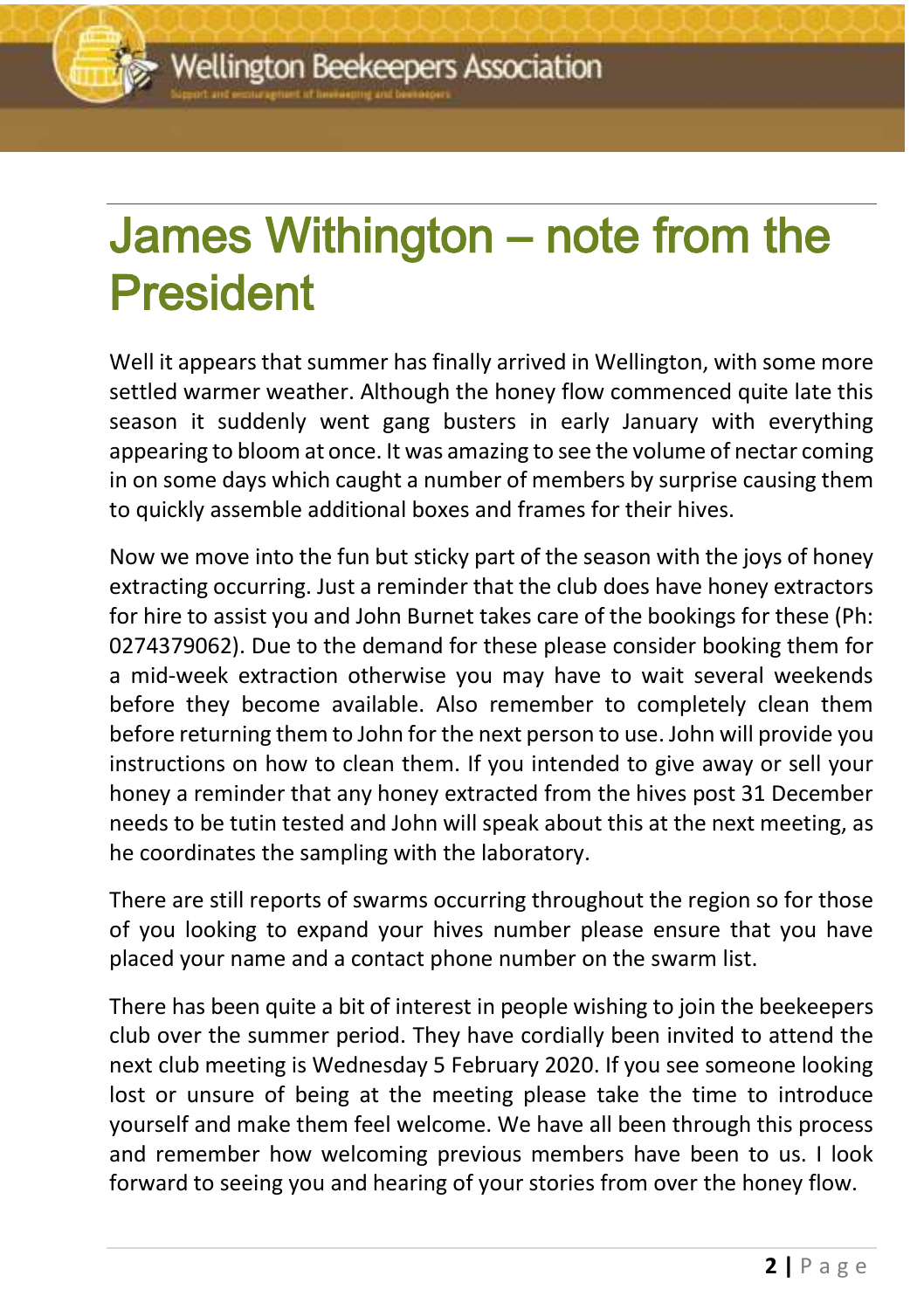## <u>december 2016 newsletter</u> James Withington – note from the President

Well it appears that summer has finally arrived in Wellington, with some more settled warmer weather. Although the honey flow commenced quite late this season it suddenly went gang busters in early January with everything appearing to bloom at once. It was amazing to see the volume of nectar coming in on some days which caught a number of members by surprise causing them to quickly assemble additional boxes and frames for their hives.

Now we move into the fun but sticky part of the season with the joys of honey extracting occurring. Just a reminder that the club does have honey extractors for hire to assist you and John Burnet takes care of the bookings for these (Ph: 0274379062). Due to the demand for these please consider booking them for a mid-week extraction otherwise you may have to wait several weekends before they become available. Also remember to completely clean them before returning them to John for the next person to use. John will provide you instructions on how to clean them. If you intended to give away or sell your honey a reminder that any honey extracted from the hives post 31 December needs to be tutin tested and John will speak about this at the next meeting, as he coordinates the sampling with the laboratory.

There are still reports of swarms occurring throughout the region so for those of you looking to expand your hives number please ensure that you have placed your name and a contact phone number on the swarm list.

There has been quite a bit of interest in people wishing to join the beekeepers club over the summer period. They have cordially been invited to attend the next club meeting is Wednesday 5 February 2020. If you see someone looking lost or unsure of being at the meeting please take the time to introduce yourself and make them feel welcome. We have all been through this process and remember how welcoming previous members have been to us. I look forward to seeing you and hearing of your stories from over the honey flow.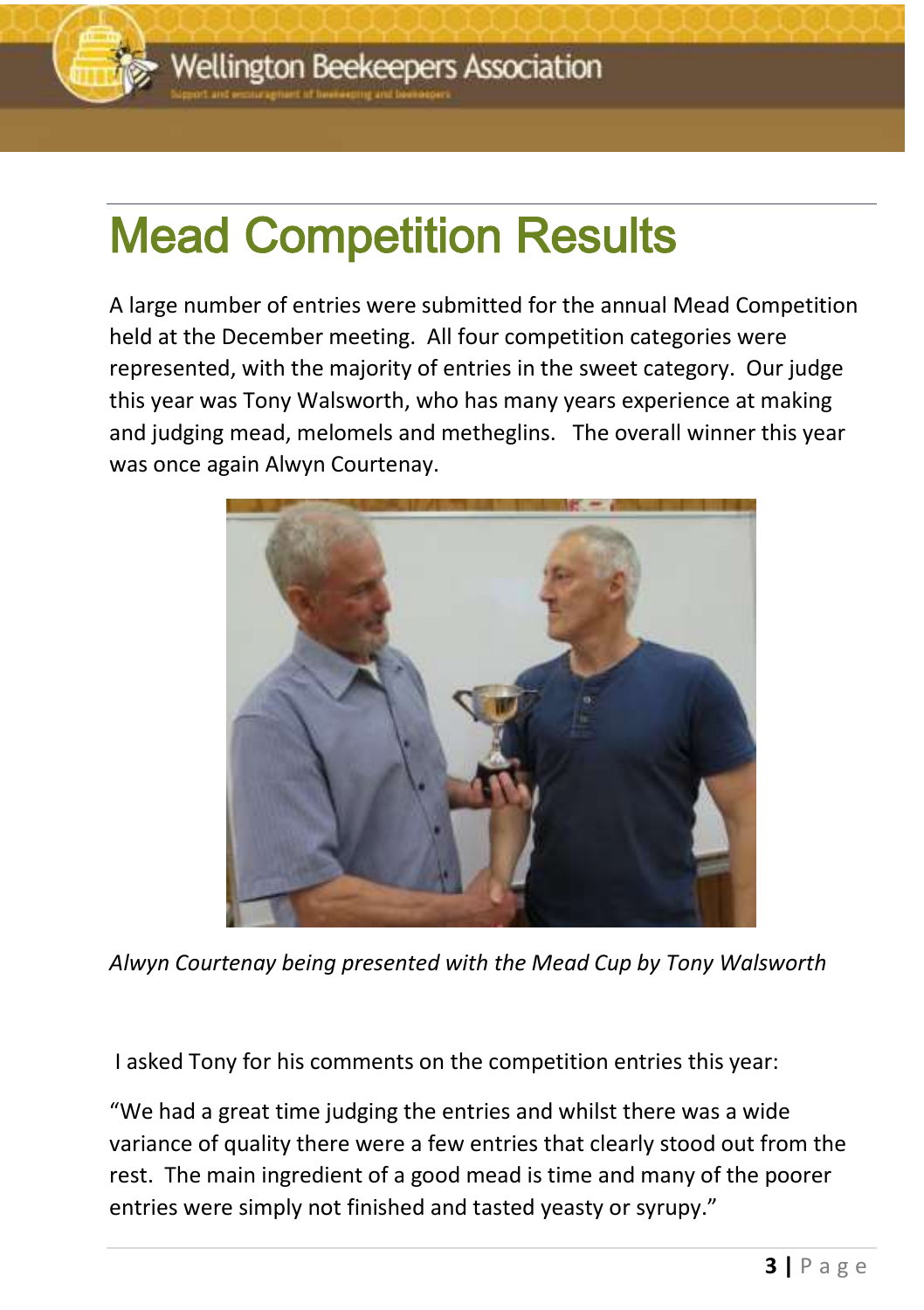

### <u>december 2016 newsletter</u> Mead Competition Results

A large number of entries were submitted for the annual Mead Competition held at the December meeting. All four competition categories were represented, with the majority of entries in the sweet category. Our judge this year was Tony Walsworth, who has many years experience at making and judging mead, melomels and metheglins. The overall winner this year was once again Alwyn Courtenay.



*Alwyn Courtenay being presented with the Mead Cup by Tony Walsworth*

I asked Tony for his comments on the competition entries this year:

"We had a great time judging the entries and whilst there was a wide variance of quality there were a few entries that clearly stood out from the rest. The main ingredient of a good mead is time and many of the poorer entries were simply not finished and tasted yeasty or syrupy."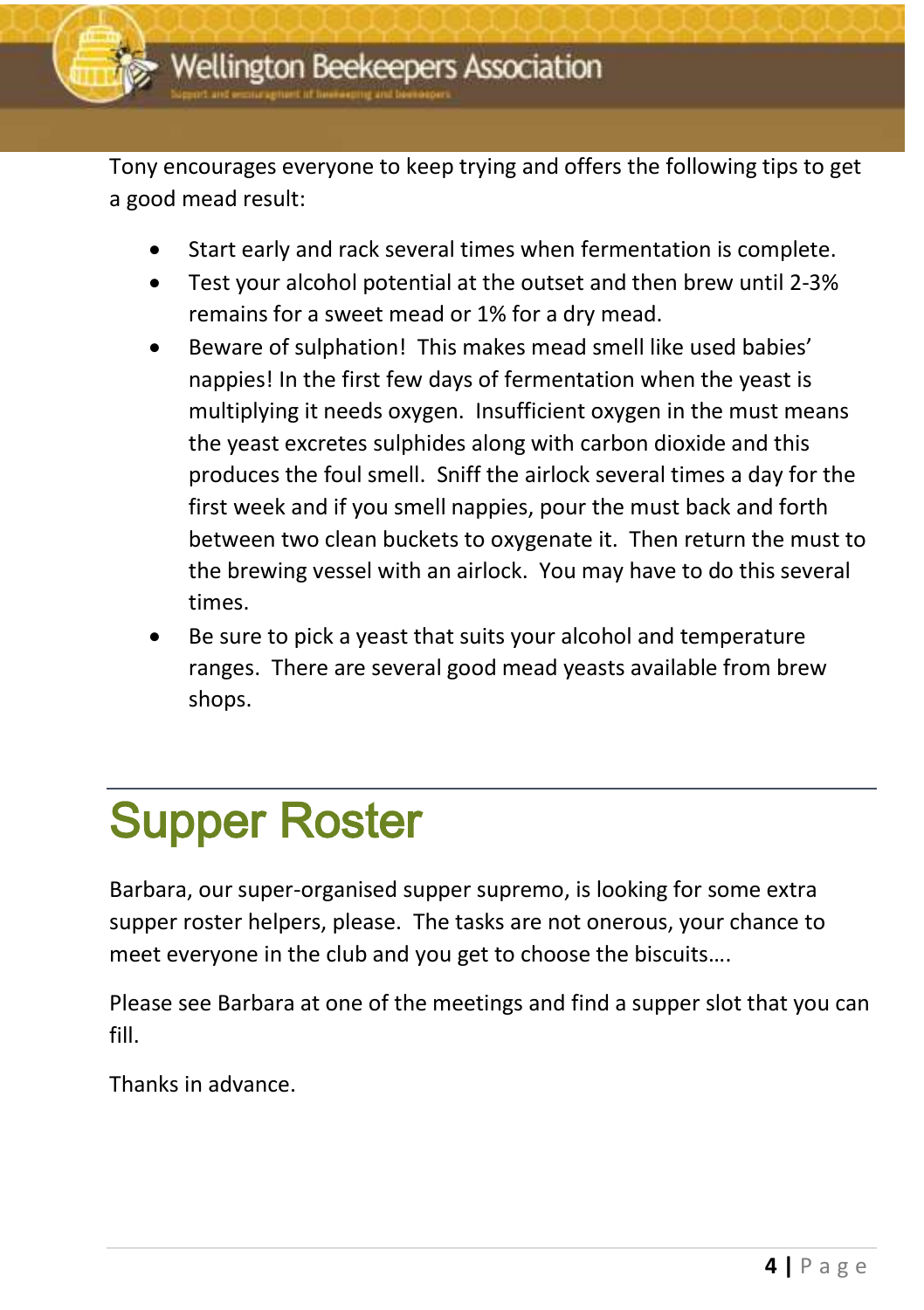Tony encourages everyone to keep trying and offers the following tips to get a good mead result:

- Start early and rack several times when fermentation is complete.
- Test your alcohol potential at the outset and then brew until 2-3% remains for a sweet mead or 1% for a dry mead.
- Beware of sulphation! This makes mead smell like used babies' nappies! In the first few days of fermentation when the yeast is multiplying it needs oxygen. Insufficient oxygen in the must means the yeast excretes sulphides along with carbon dioxide and this produces the foul smell. Sniff the airlock several times a day for the first week and if you smell nappies, pour the must back and forth between two clean buckets to oxygenate it. Then return the must to the brewing vessel with an airlock. You may have to do this several times.
- Be sure to pick a yeast that suits your alcohol and temperature ranges. There are several good mead yeasts available from brew shops.

## Supper Roster

Barbara, our super-organised supper supremo, is looking for some extra supper roster helpers, please. The tasks are not onerous, your chance to meet everyone in the club and you get to choose the biscuits….

Please see Barbara at one of the meetings and find a supper slot that you can fill.

Thanks in advance.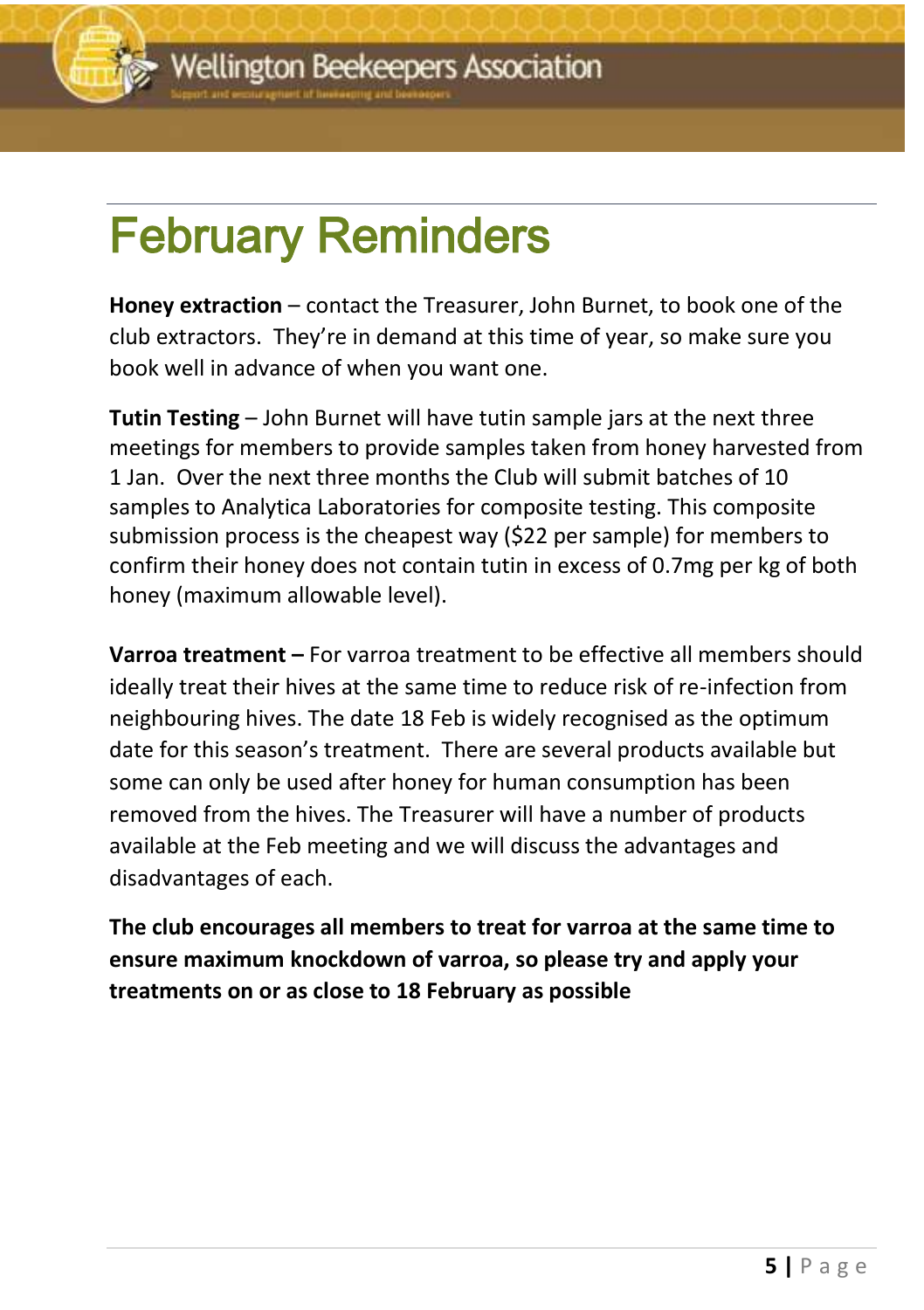# February Reminders

**Honey extraction** – contact the Treasurer, John Burnet, to book one of the club extractors. They're in demand at this time of year, so make sure you book well in advance of when you want one.

**Tutin Testing** – John Burnet will have tutin sample jars at the next three meetings for members to provide samples taken from honey harvested from 1 Jan. Over the next three months the Club will submit batches of 10 samples to Analytica Laboratories for composite testing. This composite submission process is the cheapest way (\$22 per sample) for members to confirm their honey does not contain tutin in excess of 0.7mg per kg of both honey (maximum allowable level).

**Varroa treatment –** For varroa treatment to be effective all members should ideally treat their hives at the same time to reduce risk of re-infection from neighbouring hives. The date 18 Feb is widely recognised as the optimum date for this season's treatment. There are several products available but some can only be used after honey for human consumption has been removed from the hives. The Treasurer will have a number of products available at the Feb meeting and we will discuss the advantages and disadvantages of each.

**The club encourages all members to treat for varroa at the same time to ensure maximum knockdown of varroa, so please try and apply your treatments on or as close to 18 February as possible**

<u>december 2016 newsletter</u>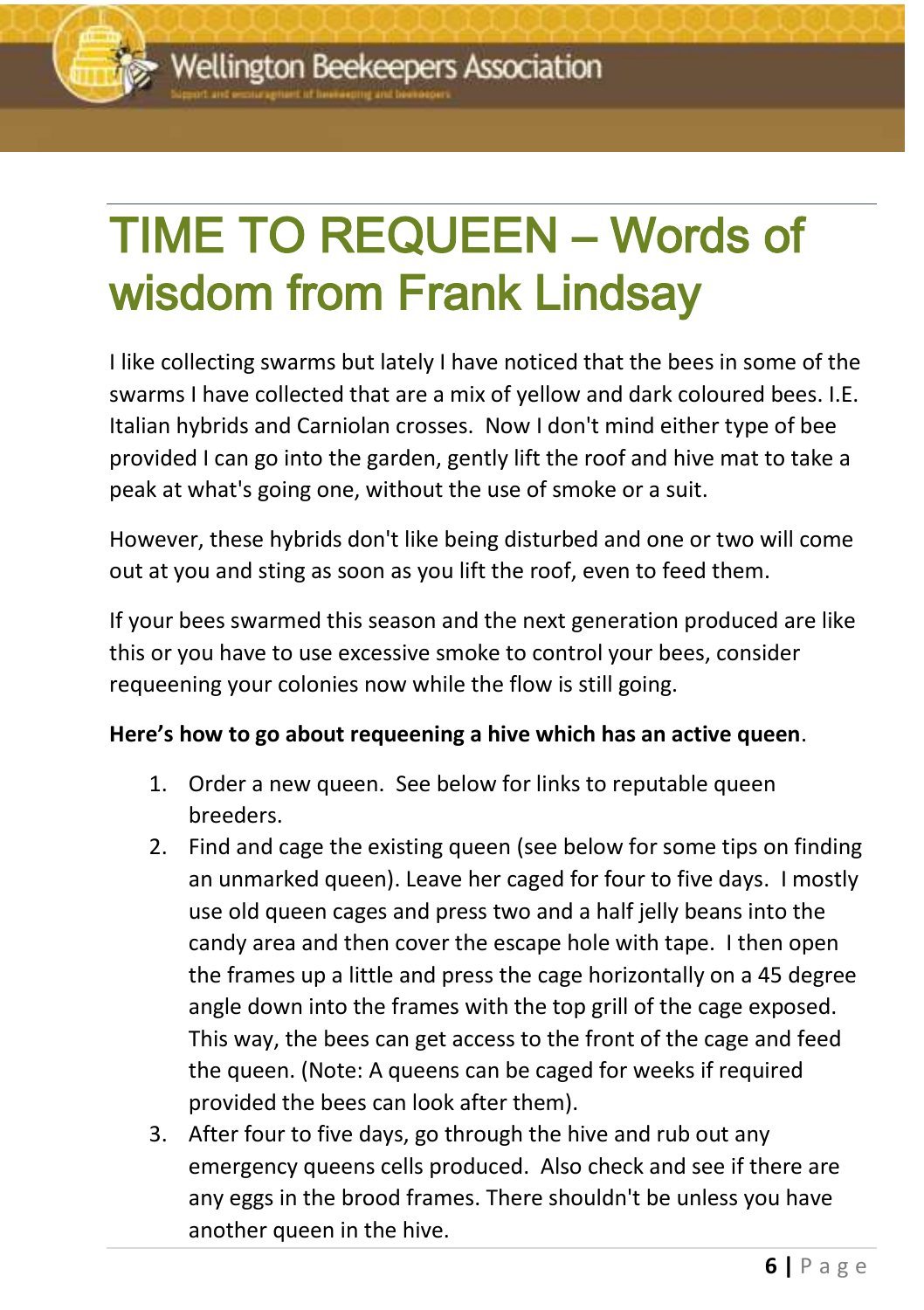## <u>december 2016 newsletter</u> TIME TO REQUEEN – Words of wisdom from Frank Lindsay

I like collecting swarms but lately I have noticed that the bees in some of the swarms I have collected that are a mix of yellow and dark coloured bees. I.E. Italian hybrids and Carniolan crosses. Now I don't mind either type of bee provided I can go into the garden, gently lift the roof and hive mat to take a peak at what's going one, without the use of smoke or a suit.

However, these hybrids don't like being disturbed and one or two will come out at you and sting as soon as you lift the roof, even to feed them.

If your bees swarmed this season and the next generation produced are like this or you have to use excessive smoke to control your bees, consider requeening your colonies now while the flow is still going.

#### **Here's how to go about requeening a hive which has an active queen**.

- 1. Order a new queen. See below for links to reputable queen breeders.
- 2. Find and cage the existing queen (see below for some tips on finding an unmarked queen). Leave her caged for four to five days. I mostly use old queen cages and press two and a half jelly beans into the candy area and then cover the escape hole with tape. I then open the frames up a little and press the cage horizontally on a 45 degree angle down into the frames with the top grill of the cage exposed. This way, the bees can get access to the front of the cage and feed the queen. (Note: A queens can be caged for weeks if required provided the bees can look after them).
- 3. After four to five days, go through the hive and rub out any emergency queens cells produced. Also check and see if there are any eggs in the brood frames. There shouldn't be unless you have another queen in the hive.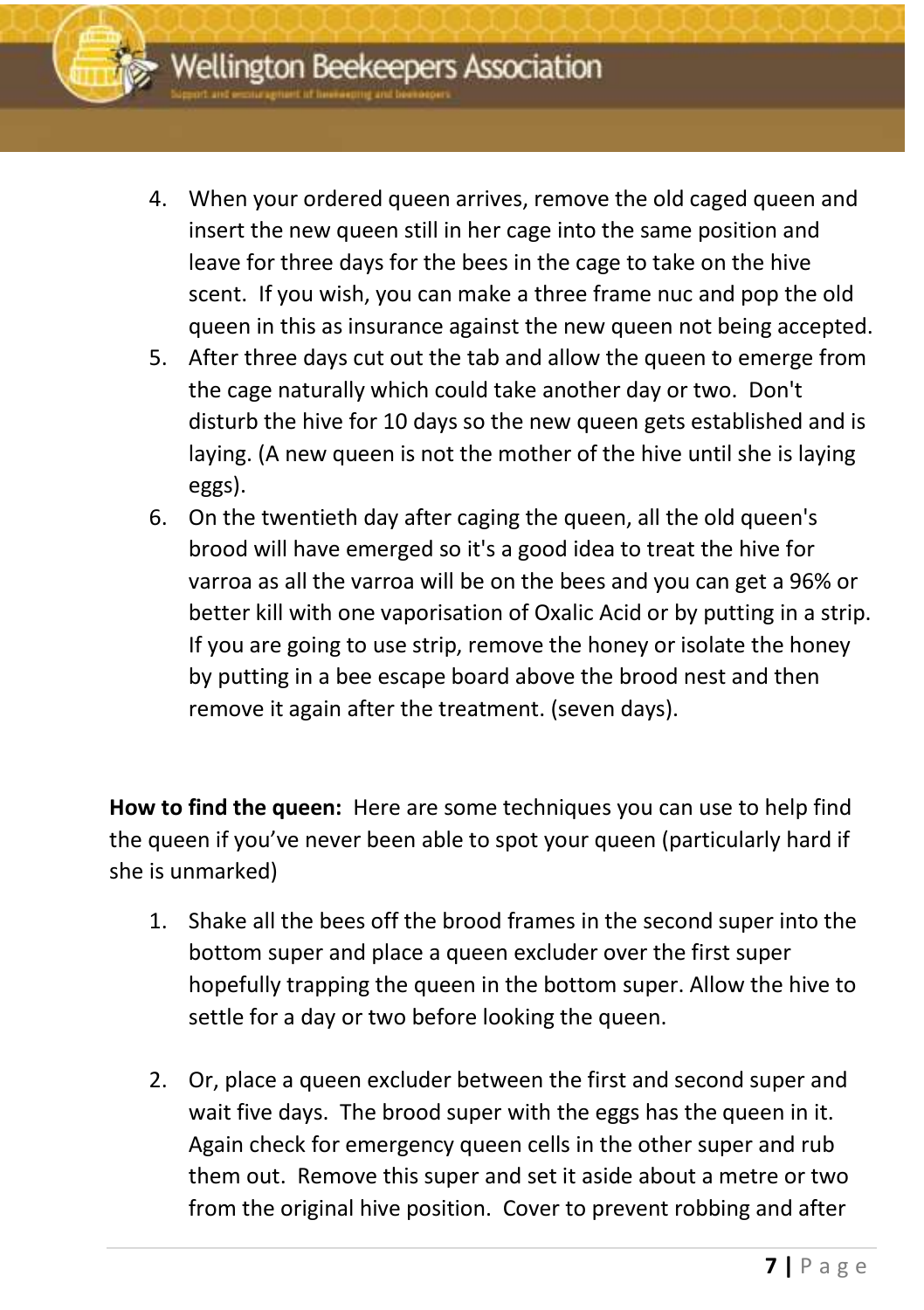

- 4. When your ordered queen arrives, remove the old caged queen and insert the new queen still in her cage into the same position and leave for three days for the bees in the cage to take on the hive scent. If you wish, you can make a three frame nuc and pop the old queen in this as insurance against the new queen not being accepted.
- 5. After three days cut out the tab and allow the queen to emerge from the cage naturally which could take another day or two. Don't disturb the hive for 10 days so the new queen gets established and is laying. (A new queen is not the mother of the hive until she is laying eggs).
- 6. On the twentieth day after caging the queen, all the old queen's brood will have emerged so it's a good idea to treat the hive for varroa as all the varroa will be on the bees and you can get a 96% or better kill with one vaporisation of Oxalic Acid or by putting in a strip. If you are going to use strip, remove the honey or isolate the honey by putting in a bee escape board above the brood nest and then remove it again after the treatment. (seven days).

**How to find the queen:** Here are some techniques you can use to help find the queen if you've never been able to spot your queen (particularly hard if she is unmarked)

- 1. Shake all the bees off the brood frames in the second super into the bottom super and place a queen excluder over the first super hopefully trapping the queen in the bottom super. Allow the hive to settle for a day or two before looking the queen.
- 2. Or, place a queen excluder between the first and second super and wait five days. The brood super with the eggs has the queen in it. Again check for emergency queen cells in the other super and rub them out. Remove this super and set it aside about a metre or two from the original hive position. Cover to prevent robbing and after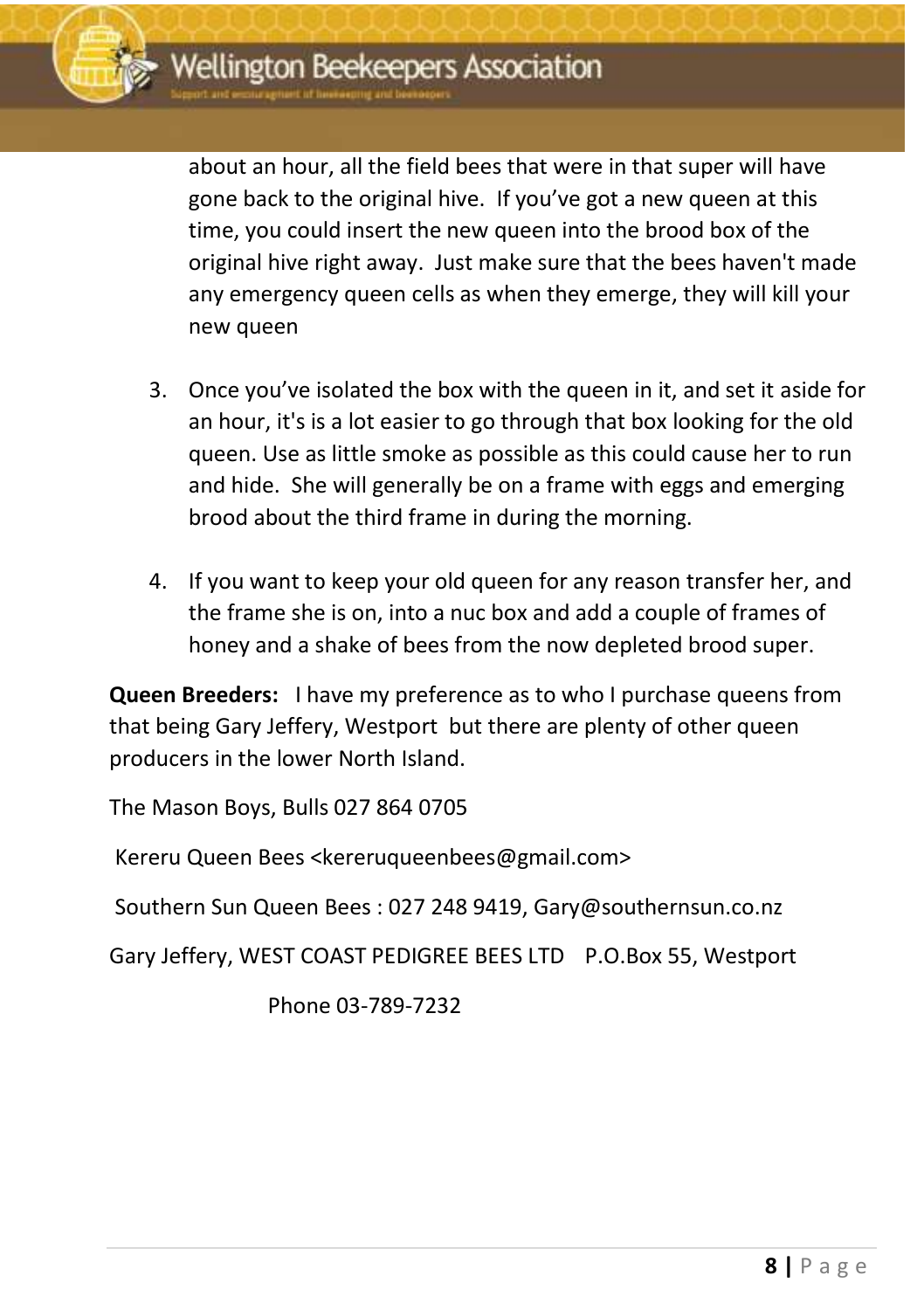

gone back to the original hive. If you've got a new queen at this about an hour, all the field bees that were in that super will have time, you could insert the new queen into the brood box of the original hive right away. Just make sure that the bees haven't made any emergency queen cells as when they emerge, they will kill your new queen

- 3. Once you've isolated the box with the queen in it, and set it aside for an hour, it's is a lot easier to go through that box looking for the old queen. Use as little smoke as possible as this could cause her to run and hide. She will generally be on a frame with eggs and emerging brood about the third frame in during the morning.
- 4. If you want to keep your old queen for any reason transfer her, and the frame she is on, into a nuc box and add a couple of frames of honey and a shake of bees from the now depleted brood super.

**Queen Breeders:** I have my preference as to who I purchase queens from that being Gary Jeffery, Westport but there are plenty of other queen producers in the lower North Island.

The Mason Boys, Bulls 027 864 0705

Kereru Queen Bees <kereruqueenbees@gmail.com>

Southern Sun Queen Bees : 027 248 9419, Gary@southernsun.co.nz

Gary Jeffery, WEST COAST PEDIGREE BEES LTD P.O.Box 55, Westport

Phone 03-789-7232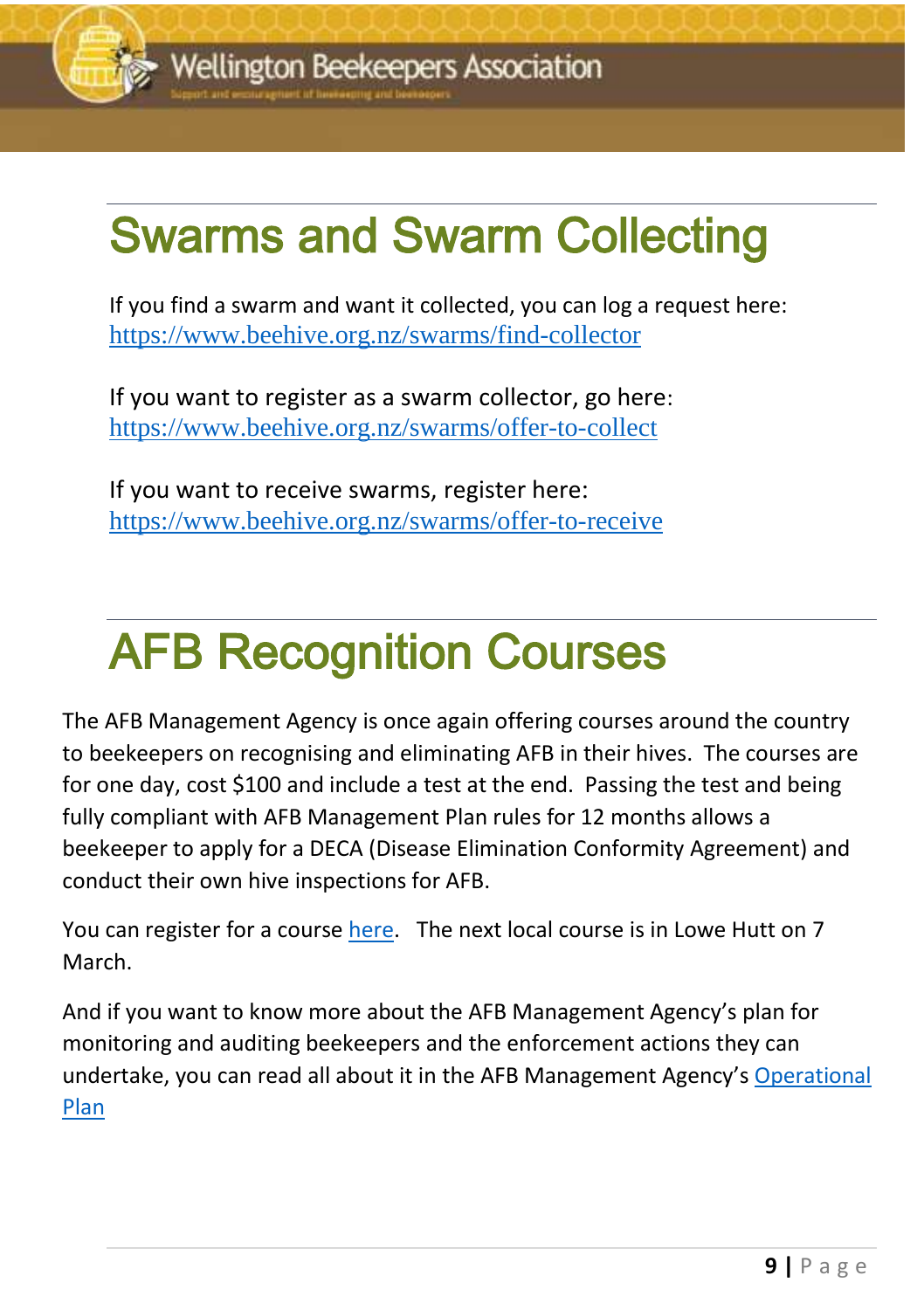

### <u>december 2016 newsletter</u> Swarms and Swarm Collecting

If you find a swarm and want it collected, you can log a request here: <https://www.beehive.org.nz/swarms/find-collector>

If you want to register as a swarm collector, go here: <https://www.beehive.org.nz/swarms/offer-to-collect>

If you want to receive swarms, register here: <https://www.beehive.org.nz/swarms/offer-to-receive>

# AFB Recognition Courses

The AFB Management Agency is once again offering courses around the country to beekeepers on recognising and eliminating AFB in their hives. The courses are for one day, cost \$100 and include a test at the end. Passing the test and being fully compliant with AFB Management Plan rules for 12 months allows a beekeeper to apply for a DECA (Disease Elimination Conformity Agreement) and conduct their own hive inspections for AFB.

You can register for a course [here.](https://afb.us12.list-manage.com/track/click?u=243d2c0e101a57a2d71a67e42&id=0e7d9e64a0&e=f7fb38068a) The next local course is in Lowe Hutt on 7 March.

And if you want to know more about the AFB Management Agency's plan for monitoring and auditing beekeepers and the enforcement actions they can undertake, you can read all about it in the AFB Management Agency'[s Operational](https://afb.org.nz/operational-plan-2020/)  [Plan](https://afb.org.nz/operational-plan-2020/)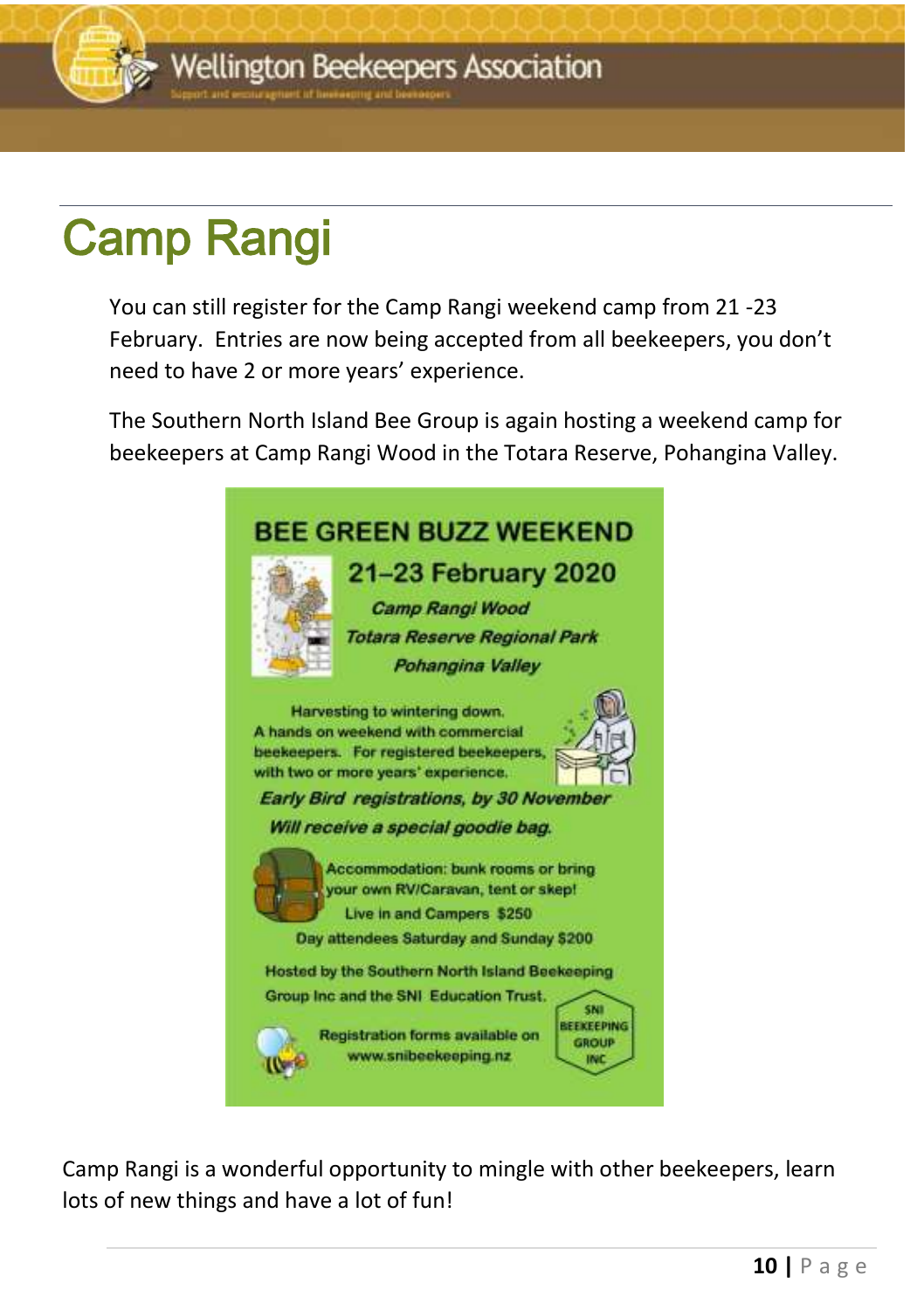

# Camp Rangi

You can still register for the Camp Rangi weekend camp from 21 -23 February. Entries are now being accepted from all beekeepers, you don't need to have 2 or more years' experience.

The Southern North Island Bee Group is again hosting a weekend camp for beekeepers at Camp Rangi Wood in the Totara Reserve, Pohangina Valley.



Camp Rangi is a wonderful opportunity to mingle with other beekeepers, learn lots of new things and have a lot of fun!

December 2016 newsletter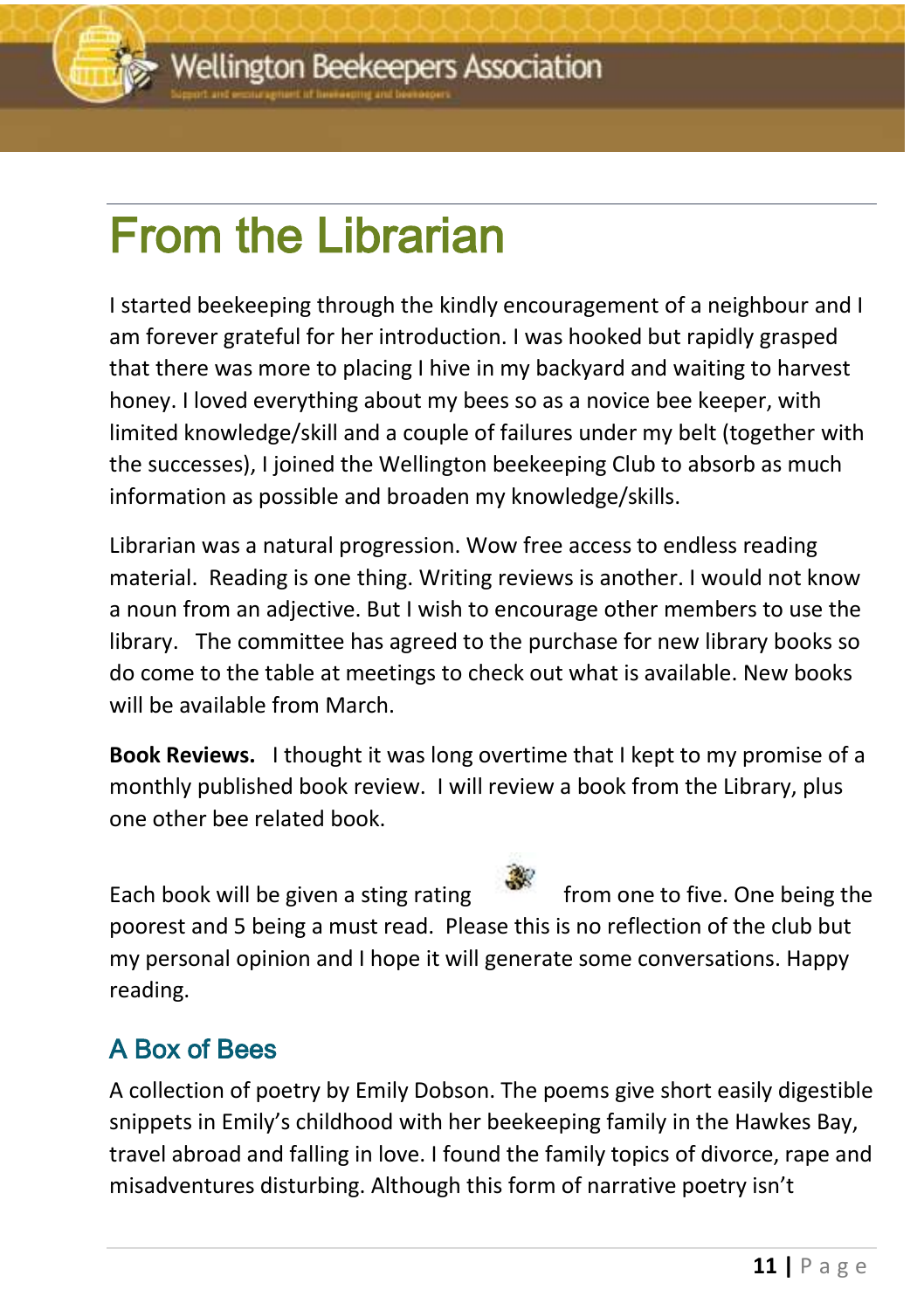# From the Librarian

I started beekeeping through the kindly encouragement of a neighbour and I am forever grateful for her introduction. I was hooked but rapidly grasped that there was more to placing I hive in my backyard and waiting to harvest honey. I loved everything about my bees so as a novice bee keeper, with limited knowledge/skill and a couple of failures under my belt (together with the successes), I joined the Wellington beekeeping Club to absorb as much information as possible and broaden my knowledge/skills.

Librarian was a natural progression. Wow free access to endless reading material. Reading is one thing. Writing reviews is another. I would not know a noun from an adjective. But I wish to encourage other members to use the library. The committee has agreed to the purchase for new library books so do come to the table at meetings to check out what is available. New books will be available from March.

**Book Reviews.** I thought it was long overtime that I kept to my promise of a monthly published book review. I will review a book from the Library, plus one other bee related book.

Each book will be given a sting rating  $\frac{1}{2}$  from one to five. One being the

poorest and 5 being a must read. Please this is no reflection of the club but my personal opinion and I hope it will generate some conversations. Happy reading.

#### A Box of Bees

A collection of poetry by Emily Dobson. The poems give short easily digestible snippets in Emily's childhood with her beekeeping family in the Hawkes Bay, travel abroad and falling in love. I found the family topics of divorce, rape and misadventures disturbing. Although this form of narrative poetry isn't

<u>december 2016 newsletter</u>



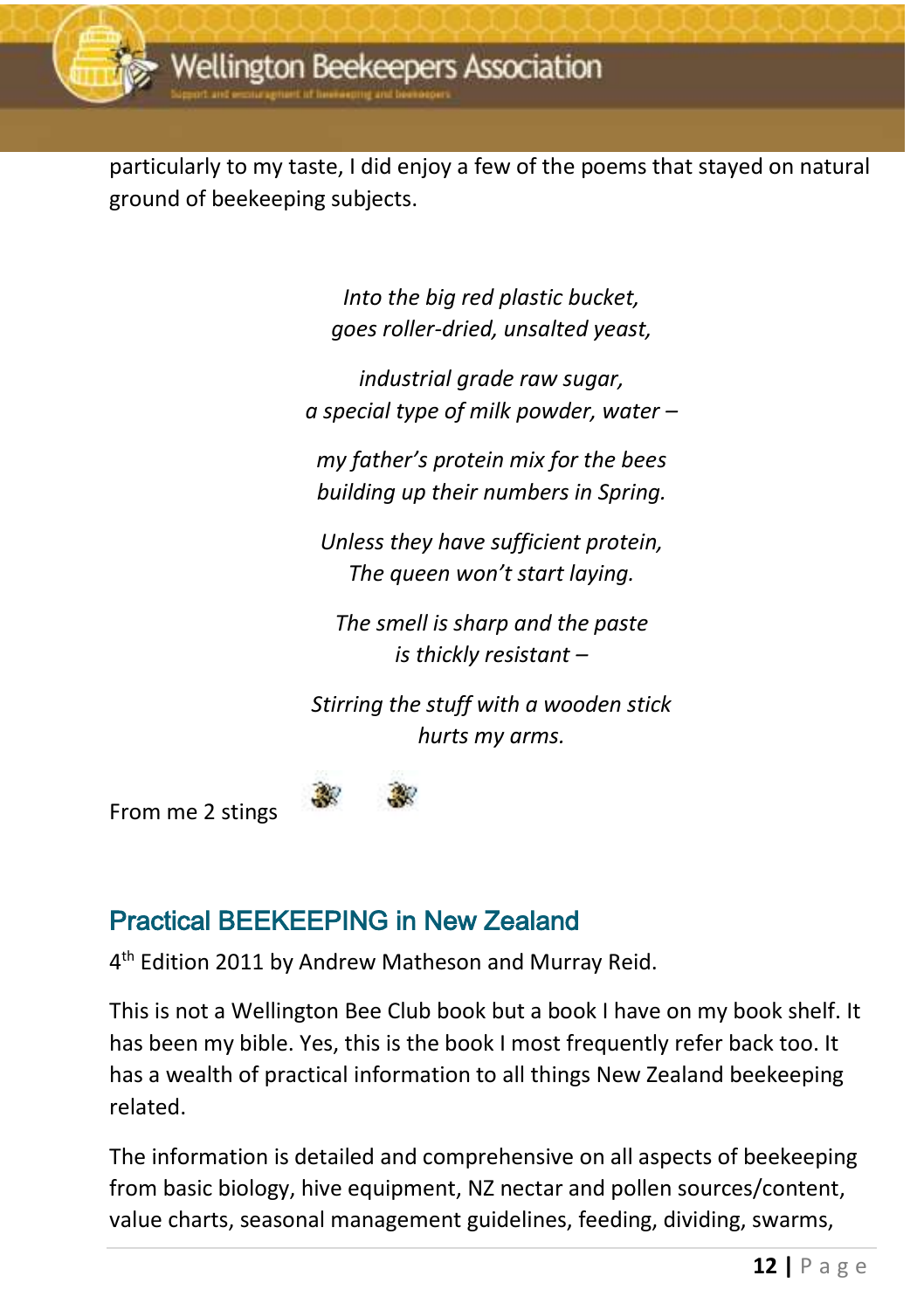

particularly to my taste, I did enjoy a few of the poems that stayed on natural ground of beekeeping subjects.

> *Into the big red plastic bucket, goes roller-dried, unsalted yeast,*

*industrial grade raw sugar, a special type of milk powder, water –*

*my father's protein mix for the bees building up their numbers in Spring.*

*Unless they have sufficient protein, The queen won't start laying.*

*The smell is sharp and the paste is thickly resistant –*

*Stirring the stuff with a wooden stick hurts my arms.*

From me 2 stings

#### Practical BEEKEEPING in New Zealand

4 th Edition 2011 by Andrew Matheson and Murray Reid.

This is not a Wellington Bee Club book but a book I have on my book shelf. It has been my bible. Yes, this is the book I most frequently refer back too. It has a wealth of practical information to all things New Zealand beekeeping related.

The information is detailed and comprehensive on all aspects of beekeeping from basic biology, hive equipment, NZ nectar and pollen sources/content, value charts, seasonal management guidelines, feeding, dividing, swarms,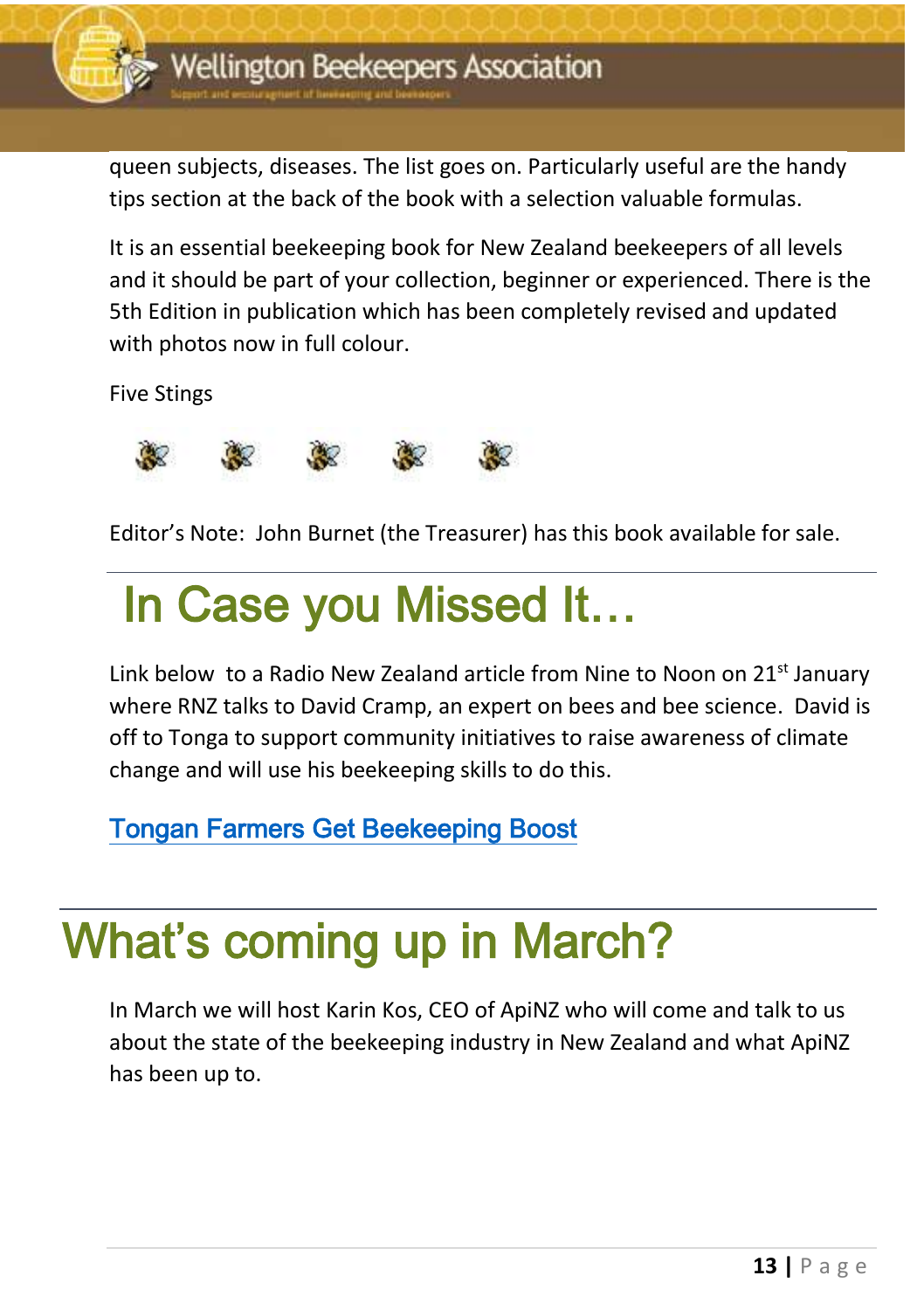

tips section at the back of the book with a selection valuable formulas. queen subjects, diseases. The list goes on. Particularly useful are the handy

It is an essential beekeeping book for New Zealand beekeepers of all levels and it should be part of your collection, beginner or experienced. There is the 5th Edition in publication which has been completely revised and updated with photos now in full colour.

Five Stings



Editor's Note: John Burnet (the Treasurer) has this book available for sale.

## In Case you Missed It…

Link below to a Radio New Zealand article from Nine to Noon on  $21<sup>st</sup>$  January where RNZ talks to David Cramp, an expert on bees and bee science. David is off to Tonga to support community initiatives to raise awareness of climate change and will use his beekeeping skills to do this.

[Tongan Farmers Get Beekeeping Boost](https://www.rnz.co.nz/national/programmes/ninetonoon/audio/2018730587/tongan-farmers-get-bee-keeping-boost) 

## What's coming up in March?

In March we will host Karin Kos, CEO of ApiNZ who will come and talk to us about the state of the beekeeping industry in New Zealand and what ApiNZ has been up to.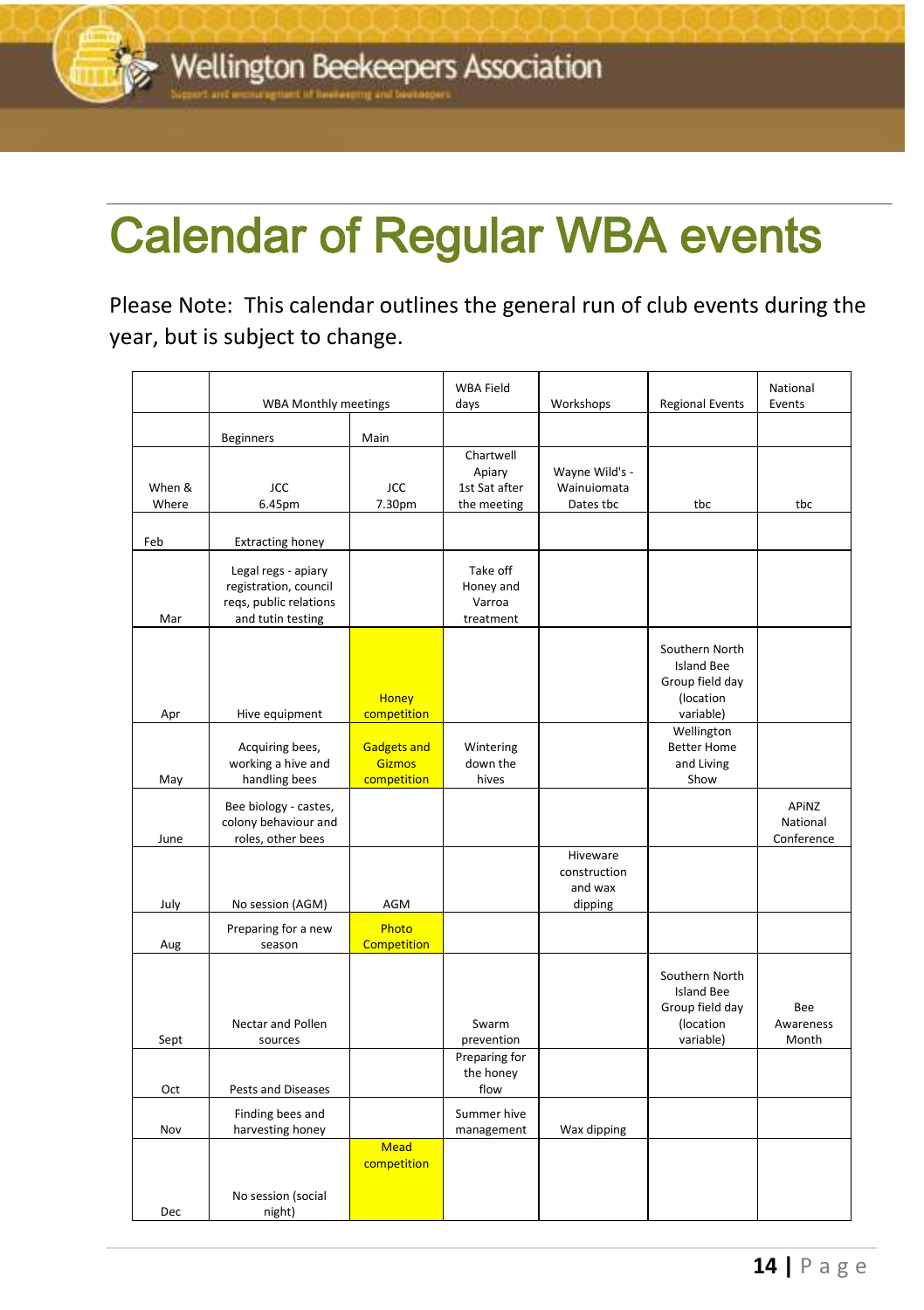## december 2016 newsletter<br>2016 newsletter Calendar of Regular WBA events

Please Note: This calendar outlines the general run of club events during the year, but is subject to change.

|                 | WBA Monthly meetings                                                                        |                                                    | <b>WBA Field</b><br>days                            | Workshops                                      | <b>Regional Events</b>                                                           | National<br>Events              |
|-----------------|---------------------------------------------------------------------------------------------|----------------------------------------------------|-----------------------------------------------------|------------------------------------------------|----------------------------------------------------------------------------------|---------------------------------|
|                 | <b>Beginners</b>                                                                            | Main                                               |                                                     |                                                |                                                                                  |                                 |
| When &<br>Where | JCC<br>6.45pm                                                                               | <b>JCC</b><br>7.30pm                               | Chartwell<br>Apiary<br>1st Sat after<br>the meeting | Wayne Wild's -<br>Wainuiomata<br>Dates tbc     | tbc                                                                              | tbc                             |
| Feb             | <b>Extracting honey</b>                                                                     |                                                    |                                                     |                                                |                                                                                  |                                 |
| Mar             | Legal regs - apiary<br>registration, council<br>regs, public relations<br>and tutin testing |                                                    | Take off<br>Honey and<br>Varroa<br>treatment        |                                                |                                                                                  |                                 |
| Apr             | Hive equipment                                                                              | <b>Honey</b><br>competition                        |                                                     |                                                | Southern North<br><b>Island Bee</b><br>Group field day<br>(location<br>variable) |                                 |
| May             | Acquiring bees,<br>working a hive and<br>handling bees                                      | <b>Gadgets and</b><br><b>Gizmos</b><br>competition | Wintering<br>down the<br>hives                      |                                                | Wellington<br><b>Better Home</b><br>and Living<br>Show                           |                                 |
| June            | Bee biology - castes,<br>colony behaviour and<br>roles, other bees                          |                                                    |                                                     |                                                |                                                                                  | APINZ<br>National<br>Conference |
| July            | No session (AGM)                                                                            | AGM                                                |                                                     | Hiveware<br>construction<br>and wax<br>dipping |                                                                                  |                                 |
| Aug             | Preparing for a new<br>season                                                               | Photo<br><b>Competition</b>                        |                                                     |                                                |                                                                                  |                                 |
| Sept            | Nectar and Pollen<br>sources                                                                |                                                    | Swarm<br>prevention                                 |                                                | Southern North<br><b>Island Bee</b><br>Group field day<br>(location<br>variable) | Bee<br>Awareness<br>Month       |
| Oct             | Pests and Diseases                                                                          |                                                    | Preparing for<br>the honey<br>flow                  |                                                |                                                                                  |                                 |
| Nov             | Finding bees and<br>harvesting honey                                                        |                                                    | Summer hive<br>management                           | Wax dipping                                    |                                                                                  |                                 |
| Dec             | No session (social<br>night)                                                                | <b>Mead</b><br>competition                         |                                                     |                                                |                                                                                  |                                 |